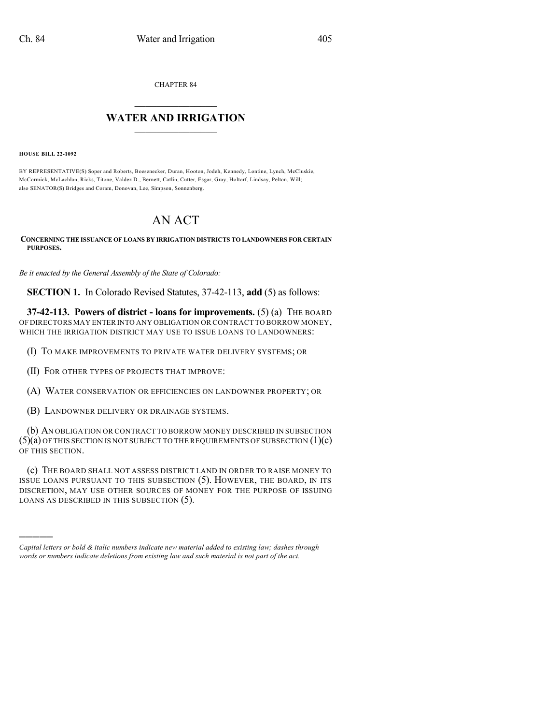CHAPTER 84

## $\mathcal{L}_\text{max}$  . The set of the set of the set of the set of the set of the set of the set of the set of the set of the set of the set of the set of the set of the set of the set of the set of the set of the set of the set **WATER AND IRRIGATION**  $\_$   $\_$

**HOUSE BILL 22-1092**

)))))

BY REPRESENTATIVE(S) Soper and Roberts, Boesenecker, Duran, Hooton, Jodeh, Kennedy, Lontine, Lynch, McCluskie, McCormick, McLachlan, Ricks, Titone, Valdez D., Bernett, Catlin, Cutter, Esgar, Gray, Holtorf, Lindsay, Pelton, Will; also SENATOR(S) Bridges and Coram, Donovan, Lee, Simpson, Sonnenberg.

## AN ACT

**CONCERNING THE ISSUANCE OF LOANS BY IRRIGATION DISTRICTS TO LANDOWNERS FOR CERTAIN PURPOSES.**

*Be it enacted by the General Assembly of the State of Colorado:*

**SECTION 1.** In Colorado Revised Statutes, 37-42-113, **add** (5) as follows:

**37-42-113. Powers of district - loans for improvements.** (5) (a) THE BOARD OF DIRECTORS MAY ENTER INTO ANY OBLIGATION OR CONTRACT TO BORROW MONEY, WHICH THE IRRIGATION DISTRICT MAY USE TO ISSUE LOANS TO LANDOWNERS:

(I) TO MAKE IMPROVEMENTS TO PRIVATE WATER DELIVERY SYSTEMS; OR

(II) FOR OTHER TYPES OF PROJECTS THAT IMPROVE:

(A) WATER CONSERVATION OR EFFICIENCIES ON LANDOWNER PROPERTY; OR

(B) LANDOWNER DELIVERY OR DRAINAGE SYSTEMS.

(b) AN OBLIGATION OR CONTRACT TO BORROW MONEY DESCRIBED IN SUBSECTION  $(5)(a)$  OF THIS SECTION IS NOT SUBJECT TO THE REQUIREMENTS OF SUBSECTION  $(1)(c)$ OF THIS SECTION.

(c) THE BOARD SHALL NOT ASSESS DISTRICT LAND IN ORDER TO RAISE MONEY TO ISSUE LOANS PURSUANT TO THIS SUBSECTION (5). HOWEVER, THE BOARD, IN ITS DISCRETION, MAY USE OTHER SOURCES OF MONEY FOR THE PURPOSE OF ISSUING LOANS AS DESCRIBED IN THIS SUBSECTION (5).

*Capital letters or bold & italic numbers indicate new material added to existing law; dashes through words or numbers indicate deletions from existing law and such material is not part of the act.*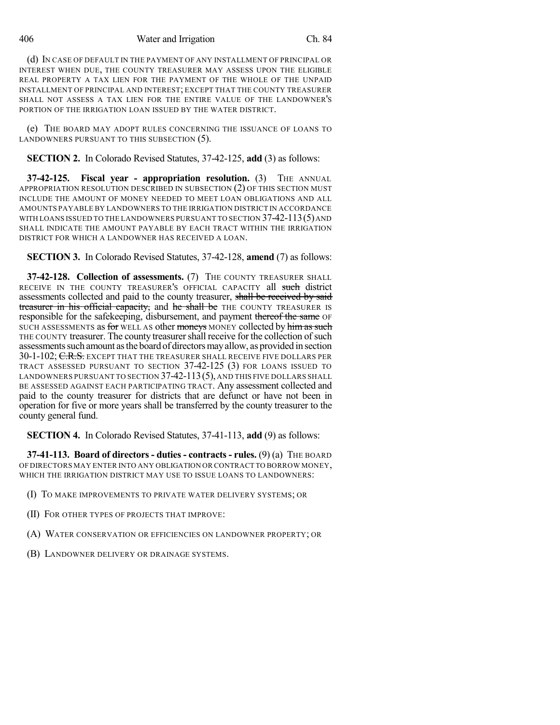406 Water and Irrigation Ch. 84

(d) IN CASE OF DEFAULT IN THE PAYMENT OF ANY INSTALLMENT OF PRINCIPAL OR INTEREST WHEN DUE, THE COUNTY TREASURER MAY ASSESS UPON THE ELIGIBLE REAL PROPERTY A TAX LIEN FOR THE PAYMENT OF THE WHOLE OF THE UNPAID INSTALLMENT OF PRINCIPAL AND INTEREST; EXCEPT THAT THE COUNTY TREASURER SHALL NOT ASSESS A TAX LIEN FOR THE ENTIRE VALUE OF THE LANDOWNER'S PORTION OF THE IRRIGATION LOAN ISSUED BY THE WATER DISTRICT.

(e) THE BOARD MAY ADOPT RULES CONCERNING THE ISSUANCE OF LOANS TO LANDOWNERS PURSUANT TO THIS SUBSECTION (5).

**SECTION 2.** In Colorado Revised Statutes, 37-42-125, **add** (3) as follows:

**37-42-125. Fiscal year - appropriation resolution.** (3) THE ANNUAL APPROPRIATION RESOLUTION DESCRIBED IN SUBSECTION (2) OF THIS SECTION MUST INCLUDE THE AMOUNT OF MONEY NEEDED TO MEET LOAN OBLIGATIONS AND ALL AMOUNTS PAYABLE BY LANDOWNERS TO THE IRRIGATION DISTRICT IN ACCORDANCE WITH LOANS ISSUED TO THE LANDOWNERS PURSUANT TO SECTION  $37-42-113(5)$  and SHALL INDICATE THE AMOUNT PAYABLE BY EACH TRACT WITHIN THE IRRIGATION DISTRICT FOR WHICH A LANDOWNER HAS RECEIVED A LOAN.

**SECTION 3.** In Colorado Revised Statutes, 37-42-128, **amend** (7) as follows:

**37-42-128. Collection of assessments.** (7) THE COUNTY TREASURER SHALL RECEIVE IN THE COUNTY TREASURER'S OFFICIAL CAPACITY all such district assessments collected and paid to the county treasurer, shall be received by said treasurer in his official capacity, and he shall be THE COUNTY TREASURER IS responsible for the safekeeping, disbursement, and payment thereof the same OF SUCH ASSESSMENTS as for WELL AS other moneys MONEY collected by him as such THE COUNTY treasurer. The county treasurer shall receive for the collection of such assessments such amount as the board of directors may allow, as provided in section 30-1-102; C.R.S. EXCEPT THAT THE TREASURER SHALL RECEIVE FIVE DOLLARS PER TRACT ASSESSED PURSUANT TO SECTION 37-42-125 (3) FOR LOANS ISSUED TO LANDOWNERS PURSUANT TO SECTION  $37-42-113(5)$ , and this five dollars shall BE ASSESSED AGAINST EACH PARTICIPATING TRACT. Any assessment collected and paid to the county treasurer for districts that are defunct or have not been in operation for five or more years shall be transferred by the county treasurer to the county general fund.

**SECTION 4.** In Colorado Revised Statutes, 37-41-113, **add** (9) as follows:

**37-41-113. Board of directors - duties - contracts - rules.** (9) (a) THE BOARD OF DIRECTORS MAY ENTER INTO ANY OBLIGATION OR CONTRACT TO BORROW MONEY, WHICH THE IRRIGATION DISTRICT MAY USE TO ISSUE LOANS TO LANDOWNERS:

- (I) TO MAKE IMPROVEMENTS TO PRIVATE WATER DELIVERY SYSTEMS; OR
- (II) FOR OTHER TYPES OF PROJECTS THAT IMPROVE:
- (A) WATER CONSERVATION OR EFFICIENCIES ON LANDOWNER PROPERTY; OR
- (B) LANDOWNER DELIVERY OR DRAINAGE SYSTEMS.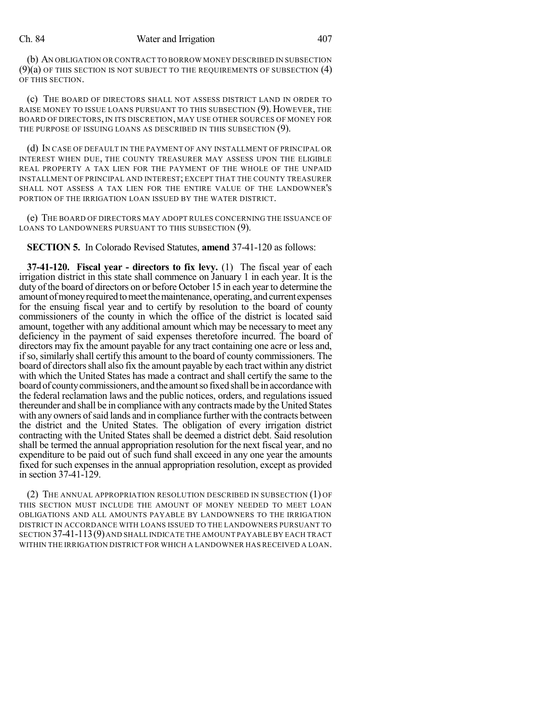## Ch. 84 Water and Irrigation 407

(b) AN OBLIGATION OR CONTRACT TO BORROW MONEY DESCRIBED IN SUBSECTION  $(9)(a)$  of this section is not subject to the requirements of subsection  $(4)$ OF THIS SECTION.

(c) THE BOARD OF DIRECTORS SHALL NOT ASSESS DISTRICT LAND IN ORDER TO RAISE MONEY TO ISSUE LOANS PURSUANT TO THIS SUBSECTION (9). HOWEVER, THE BOARD OF DIRECTORS, IN ITS DISCRETION, MAY USE OTHER SOURCES OF MONEY FOR THE PURPOSE OF ISSUING LOANS AS DESCRIBED IN THIS SUBSECTION (9).

(d) IN CASE OF DEFAULT IN THE PAYMENT OF ANY INSTALLMENT OF PRINCIPAL OR INTEREST WHEN DUE, THE COUNTY TREASURER MAY ASSESS UPON THE ELIGIBLE REAL PROPERTY A TAX LIEN FOR THE PAYMENT OF THE WHOLE OF THE UNPAID INSTALLMENT OF PRINCIPAL AND INTEREST; EXCEPT THAT THE COUNTY TREASURER SHALL NOT ASSESS A TAX LIEN FOR THE ENTIRE VALUE OF THE LANDOWNER'S PORTION OF THE IRRIGATION LOAN ISSUED BY THE WATER DISTRICT.

(e) THE BOARD OF DIRECTORS MAY ADOPT RULES CONCERNING THE ISSUANCE OF LOANS TO LANDOWNERS PURSUANT TO THIS SUBSECTION (9).

**SECTION 5.** In Colorado Revised Statutes, **amend** 37-41-120 as follows:

**37-41-120. Fiscal year - directors to fix levy.** (1) The fiscal year of each irrigation district in this state shall commence on January 1 in each year. It is the duty of the board of directors on or before October 15 in each year to determine the amount of money required to meet the maintenance, operating, and current expenses for the ensuing fiscal year and to certify by resolution to the board of county commissioners of the county in which the office of the district is located said amount, together with any additional amount which may be necessary to meet any deficiency in the payment of said expenses theretofore incurred. The board of directors may fix the amount payable for any tract containing one acre or less and, ifso, similarly shall certify this amount to the board of county commissioners. The board of directors shall also fix the amount payable by each tract within any district with which the United States has made a contract and shall certify the same to the board of countycommissioners, and the amountso fixed shall be in accordancewith the federal reclamation laws and the public notices, orders, and regulations issued thereunder and shall be in compliance with any contracts made by the United States with any owners of said lands and in compliance further with the contracts between the district and the United States. The obligation of every irrigation district contracting with the United States shall be deemed a district debt. Said resolution shall be termed the annual appropriation resolution for the next fiscal year, and no expenditure to be paid out of such fund shall exceed in any one year the amounts fixed for such expenses in the annual appropriation resolution, except as provided in section 37-41-129.

(2) THE ANNUAL APPROPRIATION RESOLUTION DESCRIBED IN SUBSECTION (1) OF THIS SECTION MUST INCLUDE THE AMOUNT OF MONEY NEEDED TO MEET LOAN OBLIGATIONS AND ALL AMOUNTS PAYABLE BY LANDOWNERS TO THE IRRIGATION DISTRICT IN ACCORDANCE WITH LOANS ISSUED TO THE LANDOWNERS PURSUANT TO SECTION 37-41-113(9)AND SHALL INDICATE THE AMOUNT PAYABLE BY EACH TRACT WITHIN THE IRRIGATION DISTRICT FOR WHICH A LANDOWNER HAS RECEIVED A LOAN.